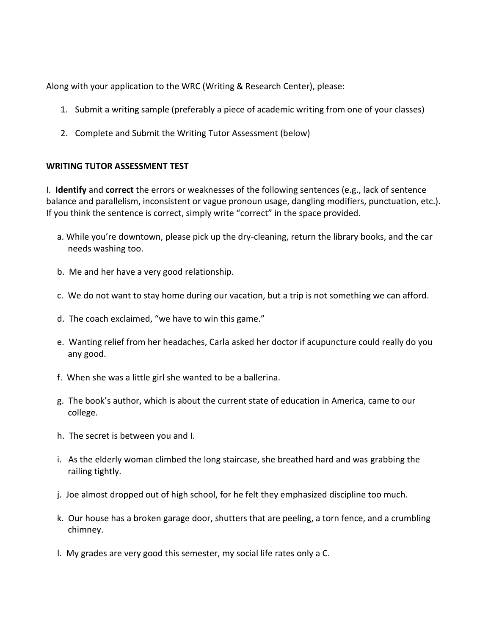Along with your application to the WRC (Writing & Research Center), please:

- 1. Submit a writing sample (preferably a piece of academic writing from one of your classes)
- 2. Complete and Submit the Writing Tutor Assessment (below)

## **WRITING TUTOR ASSESSMENT TEST**

I. **Identify** and **correct** the errors or weaknesses of the following sentences (e.g., lack of sentence balance and parallelism, inconsistent or vague pronoun usage, dangling modifiers, punctuation, etc.). If you think the sentence is correct, simply write "correct" in the space provided.

- a. While you're downtown, please pick up the dry-cleaning, return the library books, and the car needs washing too.
- b. Me and her have a very good relationship.
- c. We do not want to stay home during our vacation, but a trip is not something we can afford.
- d. The coach exclaimed, "we have to win this game."
- e. Wanting relief from her headaches, Carla asked her doctor if acupuncture could really do you any good.
- f. When she was a little girl she wanted to be a ballerina.
- g. The book's author, which is about the current state of education in America, came to our college.
- h. The secret is between you and I.
- i. As the elderly woman climbed the long staircase, she breathed hard and was grabbing the railing tightly.
- j. Joe almost dropped out of high school, for he felt they emphasized discipline too much.
- k. Our house has a broken garage door, shutters that are peeling, a torn fence, and a crumbling chimney.
- l. My grades are very good this semester, my social life rates only a C.